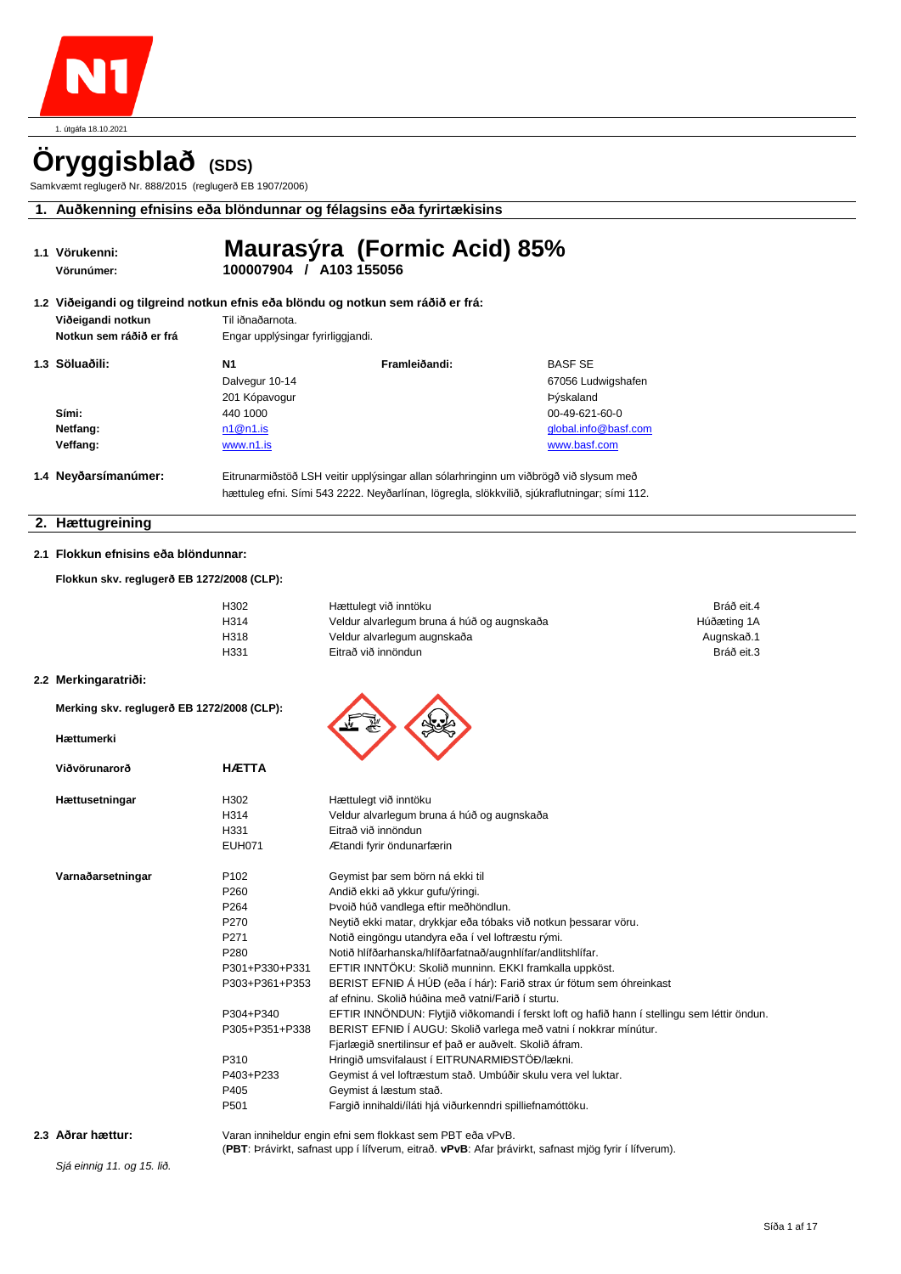

# **Öryggisblað (SDS)**

Samkvæmt reglugerð Nr. 888/2015 (reglugerð EB 1907/2006)

**1. Auðkenning efnisins eða blöndunnar og félagsins eða fyrirtækisins**

|  | 1.1 Vörukenni:<br>Vörunúmer: | 100007904 / A103 155056           | Maurasýra (Formic Acid) 85%                                                                  |                      |
|--|------------------------------|-----------------------------------|----------------------------------------------------------------------------------------------|----------------------|
|  |                              |                                   | 1.2  Viðeigandi og tilgreind notkun efnis eða blöndu og notkun sem ráðið er frá:             |                      |
|  | Viðeigandi notkun            | Til iðnaðarnota.                  |                                                                                              |                      |
|  | Notkun sem ráðið er frá      | Engar upplýsingar fyrirliggjandi. |                                                                                              |                      |
|  | 1.3 Söluaðili:               | Ν1                                | Framleiðandi:                                                                                | <b>BASF SE</b>       |
|  |                              | Dalvegur 10-14                    |                                                                                              | 67056 Ludwigshafen   |
|  |                              | 201 Kópavogur                     |                                                                                              | Þýskaland            |
|  | Sími:                        | 440 1000                          |                                                                                              | $00-49-621-60-0$     |
|  | Netfang:                     | n1@n1.is                          |                                                                                              | global.info@basf.com |
|  | Veffang:                     | www.n1.is                         |                                                                                              | www.basf.com         |
|  | 1.4 Neyðarsímanúmer:         |                                   | Eitrunarmiðstöð LSH veitir upplýsingar allan sólarhringinn um viðbrögð við slysum með        |                      |
|  |                              |                                   | hættuleg efni. Sími 543 2222. Neyðarlínan, lögregla, slökkvilið, sjúkraflutningar; sími 112. |                      |

#### **2. Hættugreining**

#### **2.1 Flokkun efnisins eða blöndunnar:**

**Flokkun skv. reglugerð EB 1272/2008 (CLP):** 

| H302 | Hættulegt við inntöku                      | Bráð eit.4  |
|------|--------------------------------------------|-------------|
| H314 | Veldur alvarlegum bruna á húð og augnskaða | Húðæting 1A |
| H318 | Veldur alvarlegum augnskaða                | Augnskað.1  |
| H331 | Eitrað við innöndun                        | Bráð eit.3  |
|      |                                            |             |

#### **2.2 Merkingaratriði:**

**Merking skv. reglugerð EB 1272/2008 (CLP):**

#### **Hættumerki**

| Viðvörunarorð     | <b>HÆTTA</b>     |                                                                                                                           |
|-------------------|------------------|---------------------------------------------------------------------------------------------------------------------------|
| Hættusetningar    | H <sub>302</sub> | Hættulegt við inntöku                                                                                                     |
|                   | H314             | Veldur alvarlegum bruna á húð og augnskaða                                                                                |
|                   | H331             | Eitrað við innöndun                                                                                                       |
|                   | <b>EUH071</b>    | Ætandi fyrir öndunarfærin                                                                                                 |
| Varnaðarsetningar | P <sub>102</sub> | Geymist þar sem börn ná ekki til                                                                                          |
|                   | P <sub>260</sub> | Andið ekki að ykkur gufu/ýringi.                                                                                          |
|                   | P <sub>264</sub> | Þvoið húð vandlega eftir meðhöndlun.                                                                                      |
|                   | P <sub>270</sub> | Neytið ekki matar, drykkjar eða tóbaks við notkun þessarar vöru.                                                          |
|                   | P <sub>271</sub> | Notið eingöngu utandyra eða í vel loftræstu rými.                                                                         |
|                   | P <sub>280</sub> | Notið hlífðarhanska/hlífðarfatnað/augnhlífar/andlitshlífar.                                                               |
|                   | P301+P330+P331   | EFTIR INNTÖKU: Skolið munninn. EKKI framkalla uppköst.                                                                    |
|                   | P303+P361+P353   | BERIST EFNIÐ Á HÚÐ (eða í hár): Farið strax úr fötum sem óhreinkast<br>af efninu. Skolið húðina með vatni/Farið í sturtu. |
|                   | P304+P340        | EFTIR INNÖNDUN: Flytjið viðkomandi í ferskt loft og hafið hann í stellingu sem léttir öndun.                              |
|                   | P305+P351+P338   | BERIST EFNIÐ Í AUGU: Skolið varlega með vatni í nokkrar mínútur.                                                          |
|                   |                  | Fjarlægið snertilinsur ef það er auðvelt. Skolið áfram.                                                                   |
|                   | P310             | Hringið umsvifalaust í EITRUNARMIÐSTÖÐ/lækni.                                                                             |
|                   | P403+P233        | Geymist á vel loftræstum stað. Umbúðir skulu vera vel luktar.                                                             |
|                   | P405             | Geymist á læstum stað.                                                                                                    |
|                   | P501             | Fargið innihaldi/íláti hjá viðurkenndri spilliefnamóttöku.                                                                |
|                   |                  |                                                                                                                           |

**2.3 Aðrar hættur:** Varan inniheldur engin efni sem flokkast sem PBT eða vPvB.

(**PBT**: Þrávirkt, safnast upp í lífverum, eitrað. **vPvB**: Afar þrávirkt, safnast mjög fyrir í lífverum).

*Sjá einnig 11. og 15. lið.*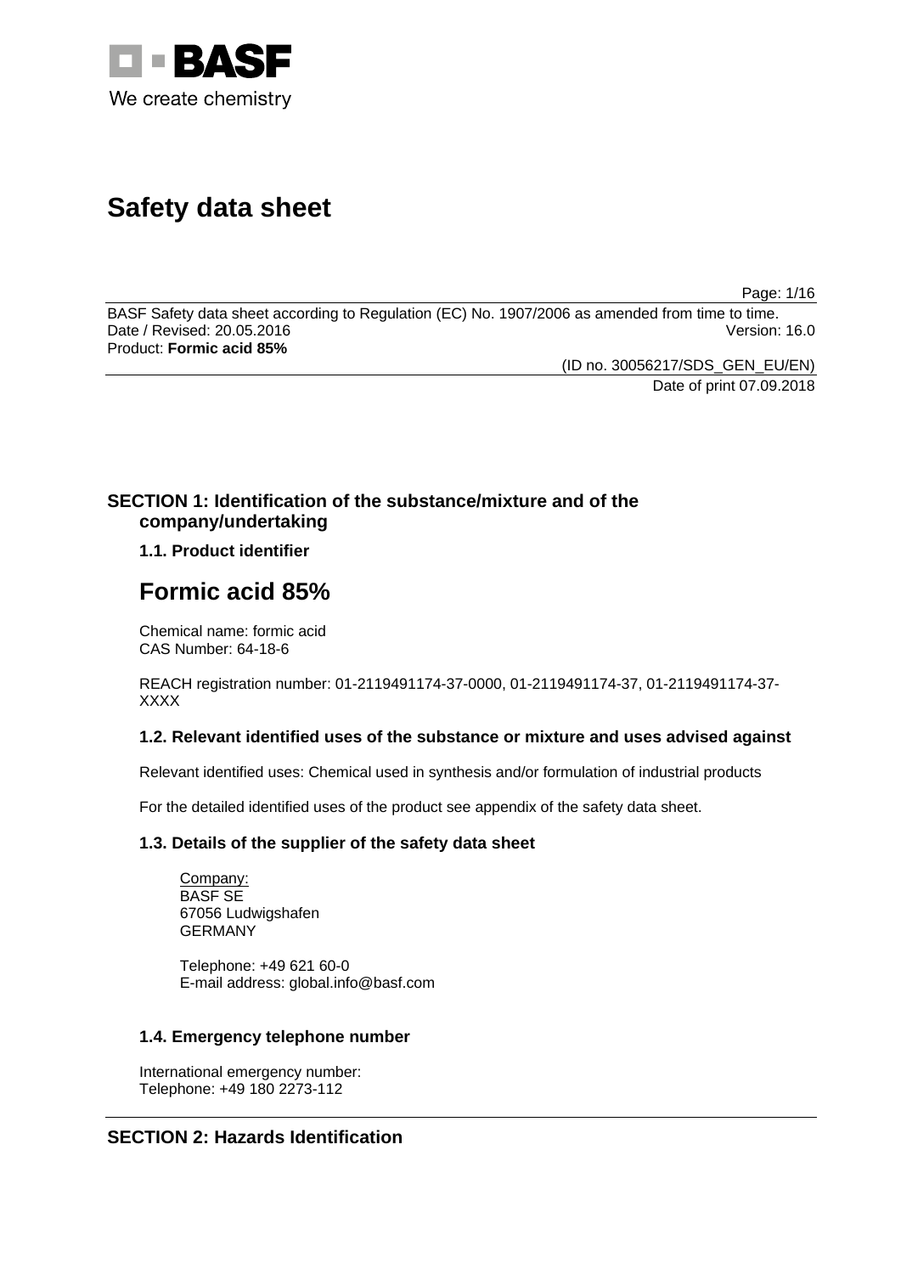

# **Safety data sheet**

Page: 1/16

BASF Safety data sheet according to Regulation (EC) No. 1907/2006 as amended from time to time. Date / Revised: 20.05.2016 Product: **Formic acid 85%**

> (ID no. 30056217/SDS\_GEN\_EU/EN) Date of print 07.09.2018

# **SECTION 1: Identification of the substance/mixture and of the company/undertaking**

# **1.1. Product identifier**

# **Formic acid 85%**

Chemical name: formic acid CAS Number: 64-18-6

REACH registration number: 01-2119491174-37-0000, 01-2119491174-37, 01-2119491174-37- XXXX

# **1.2. Relevant identified uses of the substance or mixture and uses advised against**

Relevant identified uses: Chemical used in synthesis and/or formulation of industrial products

For the detailed identified uses of the product see appendix of the safety data sheet.

# **1.3. Details of the supplier of the safety data sheet**

Company: BASF SE 67056 Ludwigshafen GERMANY

Telephone: +49 621 60-0 E-mail address: global.info@basf.com

# **1.4. Emergency telephone number**

International emergency number: Telephone: +49 180 2273-112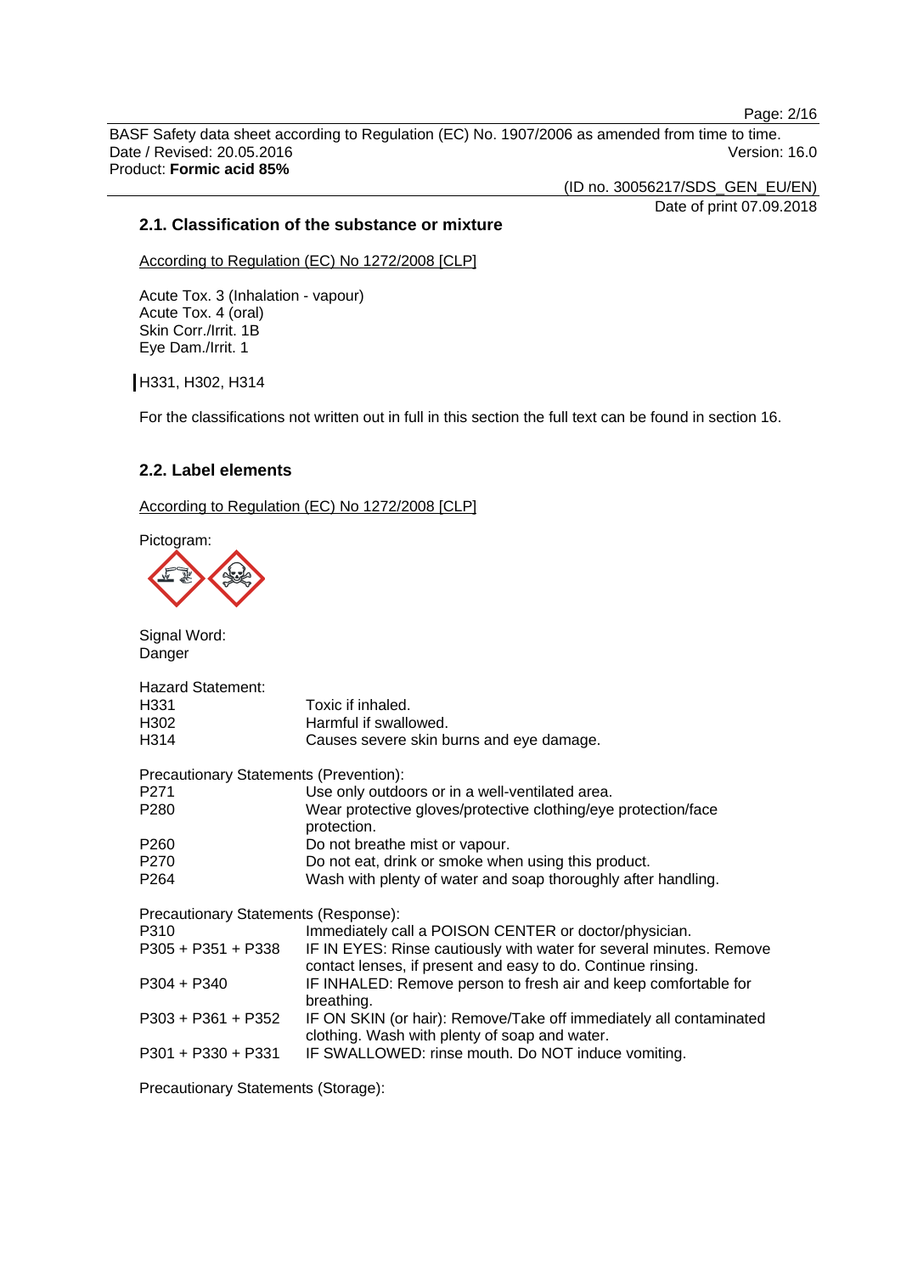Page: 2/16

BASF Safety data sheet according to Regulation (EC) No. 1907/2006 as amended from time to time. Date / Revised: 20.05.2016 Version: 16.0 Product: **Formic acid 85%**

(ID no. 30056217/SDS\_GEN\_EU/EN)

Date of print 07.09.2018

#### **2.1. Classification of the substance or mixture**

According to Regulation (EC) No 1272/2008 [CLP]

Acute Tox. 3 (Inhalation - vapour) Acute Tox. 4 (oral) Skin Corr./Irrit. 1B Eye Dam./Irrit. 1

H331, H302, H314

For the classifications not written out in full in this section the full text can be found in section 16.

# **2.2. Label elements**

According to Regulation (EC) No 1272/2008 [CLP]

Pictogram:



Signal Word: Danger Hazard Statement: H331 Toxic if inhaled. H302 Harmful if swallowed. H314 Causes severe skin burns and eye damage. Precautionary Statements (Prevention): P271 Use only outdoors or in a well-ventilated area.<br>
P280 Wear protective dloves/protective clothing/eve Wear protective gloves/protective clothing/eye protection/face protection. P260 Do not breathe mist or vapour. P270 Do not eat, drink or smoke when using this product. P264 Wash with plenty of water and soap thoroughly after handling. Precautionary Statements (Response): P310 Immediately call a POISON CENTER or doctor/physician. P305 + P351 + P338 IF IN EYES: Rinse cautiously with water for several minutes. Remove contact lenses, if present and easy to do. Continue rinsing. P304 + P340 IF INHALED: Remove person to fresh air and keep comfortable for breathing. P303 + P361 + P352 IF ON SKIN (or hair): Remove/Take off immediately all contaminated clothing. Wash with plenty of soap and water. P301 + P330 + P331 IF SWALLOWED: rinse mouth. Do NOT induce vomiting.

Precautionary Statements (Storage):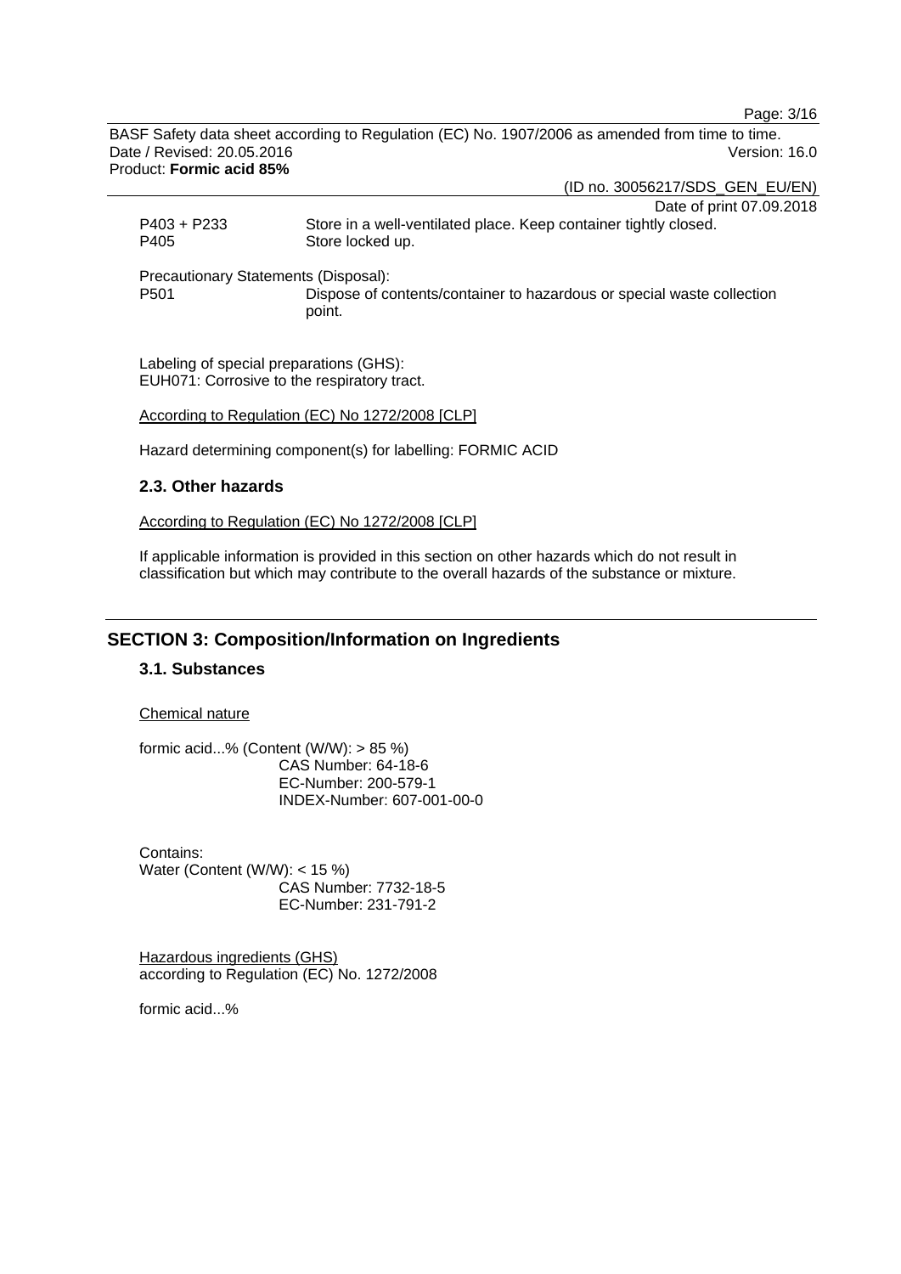Page: 3/16

BASF Safety data sheet according to Regulation (EC) No. 1907/2006 as amended from time to time. Date / Revised: 20.05.2016 Version: 16.0 Product: **Formic acid 85%**

(ID no. 30056217/SDS\_GEN\_EU/EN)

|                  | Date of print 07.09.2018                                               |
|------------------|------------------------------------------------------------------------|
| P403 + P233      | Store in a well-ventilated place. Keep container tightly closed.       |
| P405             | Store locked up.                                                       |
|                  |                                                                        |
|                  | Precautionary Statements (Disposal):                                   |
| P <sub>501</sub> | Dispose of contents/container to hazardous or special waste collection |
|                  | point.                                                                 |

Labeling of special preparations (GHS): EUH071: Corrosive to the respiratory tract.

According to Regulation (EC) No 1272/2008 [CLP]

Hazard determining component(s) for labelling: FORMIC ACID

# **2.3. Other hazards**

According to Regulation (EC) No 1272/2008 [CLP]

If applicable information is provided in this section on other hazards which do not result in classification but which may contribute to the overall hazards of the substance or mixture.

# **SECTION 3: Composition/Information on Ingredients**

# **3.1. Substances**

Chemical nature

formic acid...% (Content  $(W/W)$ : > 85 %) CAS Number: 64-18-6 EC-Number: 200-579-1 INDEX-Number: 607-001-00-0

Contains: Water (Content (W/W): < 15 %) CAS Number: 7732-18-5 EC-Number: 231-791-2

Hazardous ingredients (GHS) according to Regulation (EC) No. 1272/2008

formic acid...%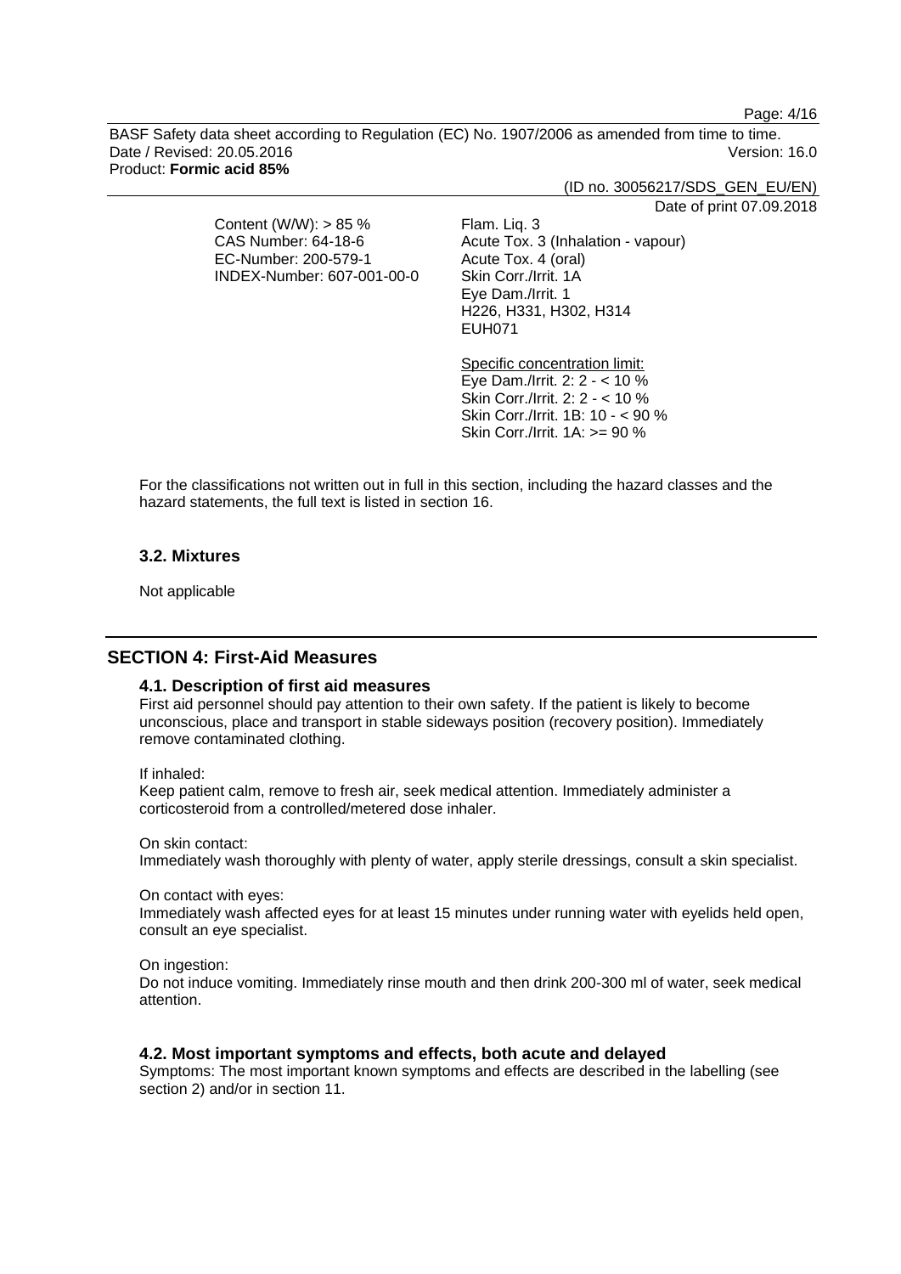Page: 4/16

BASF Safety data sheet according to Regulation (EC) No. 1907/2006 as amended from time to time. Date / Revised: 20.05.2016 Version: 16.0 Product: **Formic acid 85%**

(ID no. 30056217/SDS\_GEN\_EU/EN)

Date of print 07.09.2018

Content (W/W): > 85 % CAS Number: 64-18-6 EC-Number: 200-579-1 INDEX-Number: 607-001-00-0 Flam. Liq. 3 Acute Tox. 3 (Inhalation - vapour) Acute Tox. 4 (oral) Skin Corr./Irrit. 1A Eye Dam./Irrit. 1 H226, H331, H302, H314 EUH071

Specific concentration limit: Eye Dam./Irrit. 2: 2 - < 10 % Skin Corr./Irrit. 2: 2 - < 10 % Skin Corr./Irrit. 1B: 10 - < 90 % Skin Corr./Irrit. 1A: >= 90 %

For the classifications not written out in full in this section, including the hazard classes and the hazard statements, the full text is listed in section 16.

# **3.2. Mixtures**

Not applicable

# **SECTION 4: First-Aid Measures**

#### **4.1. Description of first aid measures**

First aid personnel should pay attention to their own safety. If the patient is likely to become unconscious, place and transport in stable sideways position (recovery position). Immediately remove contaminated clothing.

#### If inhaled:

Keep patient calm, remove to fresh air, seek medical attention. Immediately administer a corticosteroid from a controlled/metered dose inhaler.

On skin contact:

Immediately wash thoroughly with plenty of water, apply sterile dressings, consult a skin specialist.

On contact with eyes:

Immediately wash affected eyes for at least 15 minutes under running water with eyelids held open, consult an eye specialist.

On ingestion:

Do not induce vomiting. Immediately rinse mouth and then drink 200-300 ml of water, seek medical attention.

#### **4.2. Most important symptoms and effects, both acute and delayed**

Symptoms: The most important known symptoms and effects are described in the labelling (see section 2) and/or in section 11.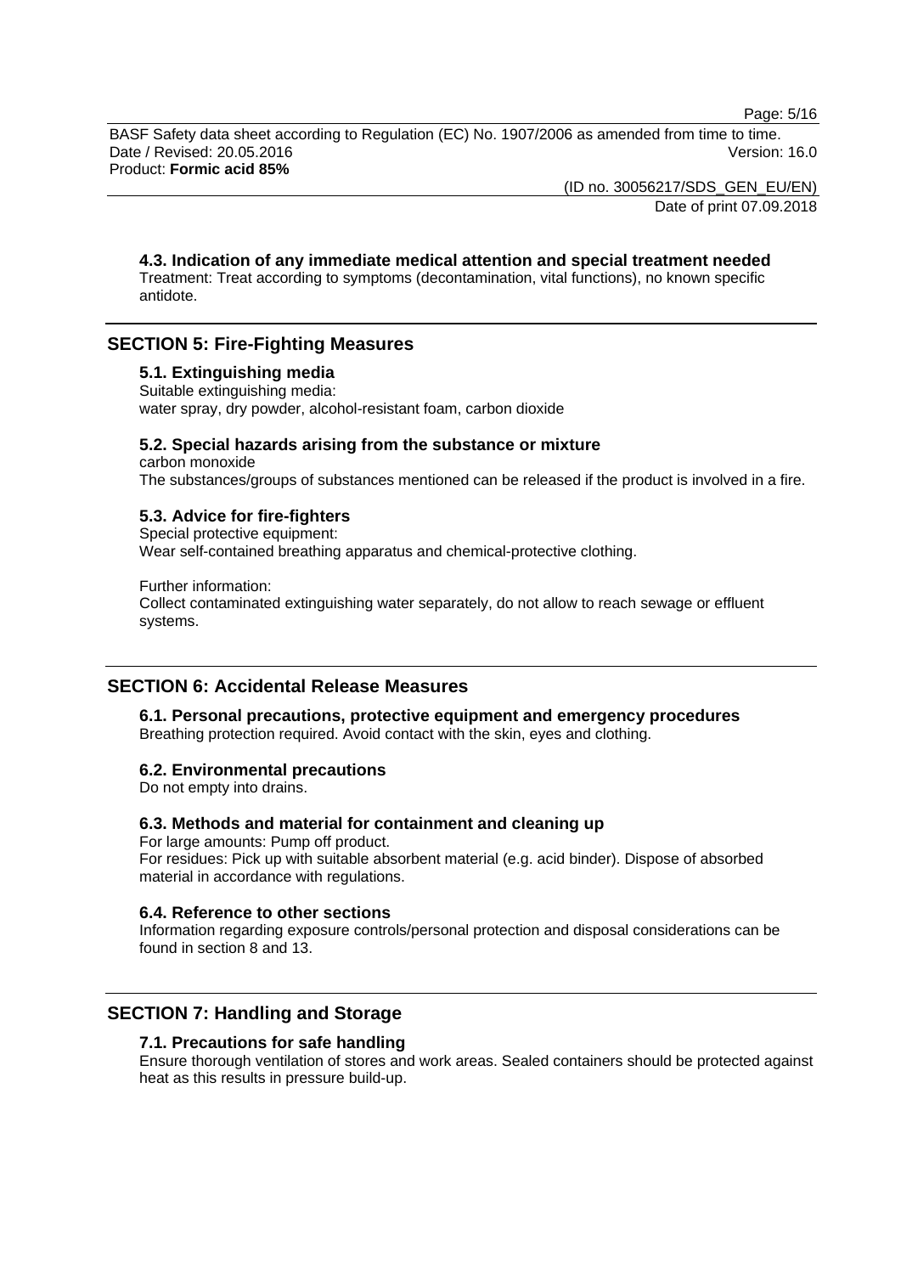Page: 5/16

BASF Safety data sheet according to Regulation (EC) No. 1907/2006 as amended from time to time. Date / Revised: 20.05.2016 Version: 16.0 Product: **Formic acid 85%**

> (ID no. 30056217/SDS\_GEN\_EU/EN) Date of print 07.09.2018

**4.3. Indication of any immediate medical attention and special treatment needed** Treatment: Treat according to symptoms (decontamination, vital functions), no known specific antidote.

# **SECTION 5: Fire-Fighting Measures**

# **5.1. Extinguishing media**

Suitable extinguishing media: water spray, dry powder, alcohol-resistant foam, carbon dioxide

#### **5.2. Special hazards arising from the substance or mixture**

carbon monoxide The substances/groups of substances mentioned can be released if the product is involved in a fire.

#### **5.3. Advice for fire-fighters**

Special protective equipment: Wear self-contained breathing apparatus and chemical-protective clothing.

Further information: Collect contaminated extinguishing water separately, do not allow to reach sewage or effluent systems.

# **SECTION 6: Accidental Release Measures**

**6.1. Personal precautions, protective equipment and emergency procedures** Breathing protection required. Avoid contact with the skin, eyes and clothing.

#### **6.2. Environmental precautions**

Do not empty into drains.

# **6.3. Methods and material for containment and cleaning up**

For large amounts: Pump off product. For residues: Pick up with suitable absorbent material (e.g. acid binder). Dispose of absorbed material in accordance with regulations.

#### **6.4. Reference to other sections**

Information regarding exposure controls/personal protection and disposal considerations can be found in section 8 and 13.

# **SECTION 7: Handling and Storage**

#### **7.1. Precautions for safe handling**

Ensure thorough ventilation of stores and work areas. Sealed containers should be protected against heat as this results in pressure build-up.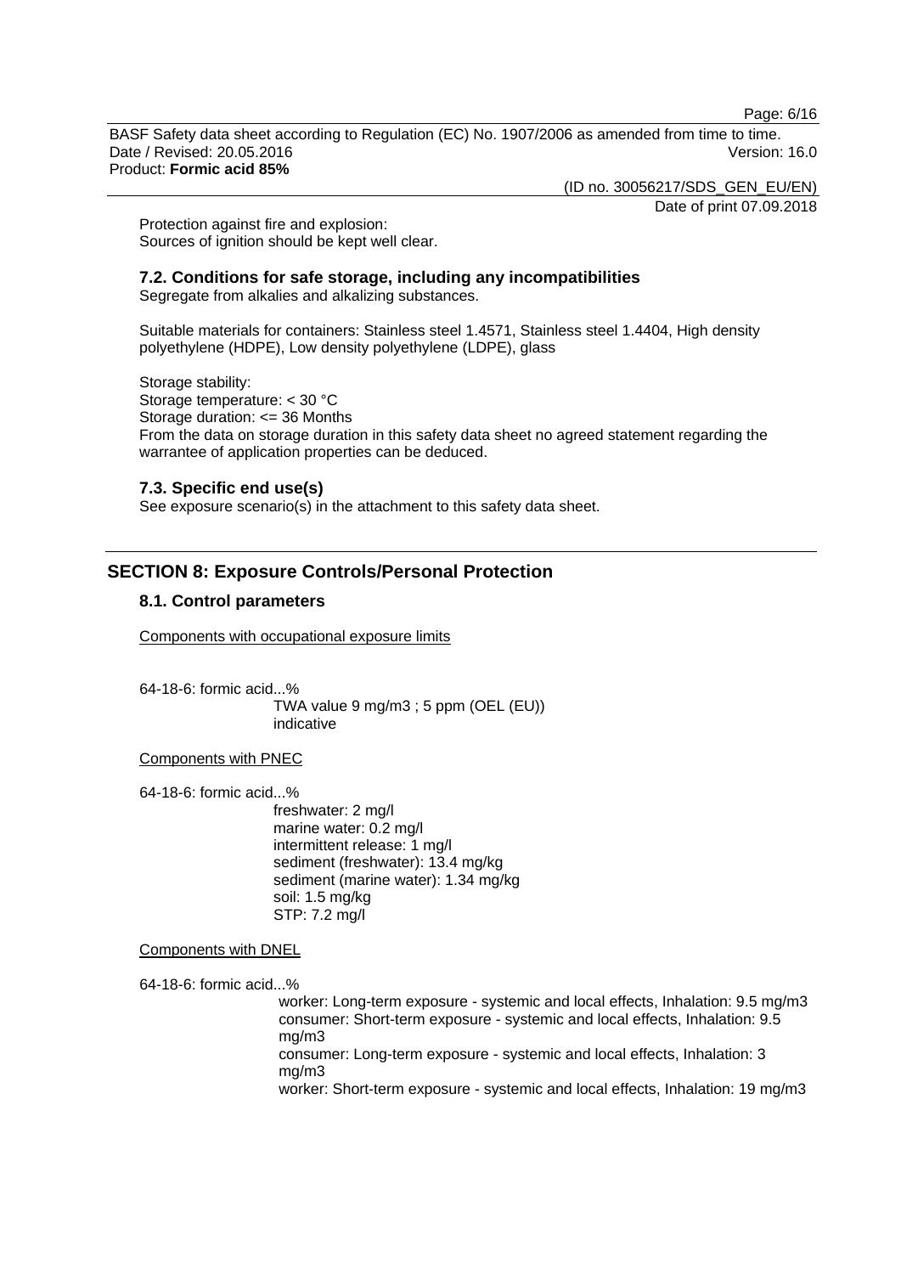Page: 6/16

BASF Safety data sheet according to Regulation (EC) No. 1907/2006 as amended from time to time. Date / Revised: 20.05.2016 Version: 16.0 Product: **Formic acid 85%**

(ID no. 30056217/SDS\_GEN\_EU/EN)

Date of print 07.09.2018

Protection against fire and explosion: Sources of ignition should be kept well clear.

#### **7.2. Conditions for safe storage, including any incompatibilities**

Segregate from alkalies and alkalizing substances.

Suitable materials for containers: Stainless steel 1.4571, Stainless steel 1.4404, High density polyethylene (HDPE), Low density polyethylene (LDPE), glass

Storage stability: Storage temperature: < 30 °C Storage duration: <= 36 Months From the data on storage duration in this safety data sheet no agreed statement regarding the warrantee of application properties can be deduced.

#### **7.3. Specific end use(s)**

See exposure scenario(s) in the attachment to this safety data sheet.

# **SECTION 8: Exposure Controls/Personal Protection**

#### **8.1. Control parameters**

Components with occupational exposure limits

64-18-6: formic acid...% TWA value 9 mg/m3 ; 5 ppm (OEL (EU)) indicative

Components with PNEC

64-18-6: formic acid...%

freshwater: 2 mg/l marine water: 0.2 mg/l intermittent release: 1 mg/l sediment (freshwater): 13.4 mg/kg sediment (marine water): 1.34 mg/kg soil: 1.5 mg/kg STP: 7.2 mg/l

Components with DNEL

64-18-6: formic acid...%

worker: Long-term exposure - systemic and local effects, Inhalation: 9.5 mg/m3 consumer: Short-term exposure - systemic and local effects, Inhalation: 9.5 mg/m3 consumer: Long-term exposure - systemic and local effects, Inhalation: 3 mg/m3 worker: Short-term exposure - systemic and local effects, Inhalation: 19 mg/m3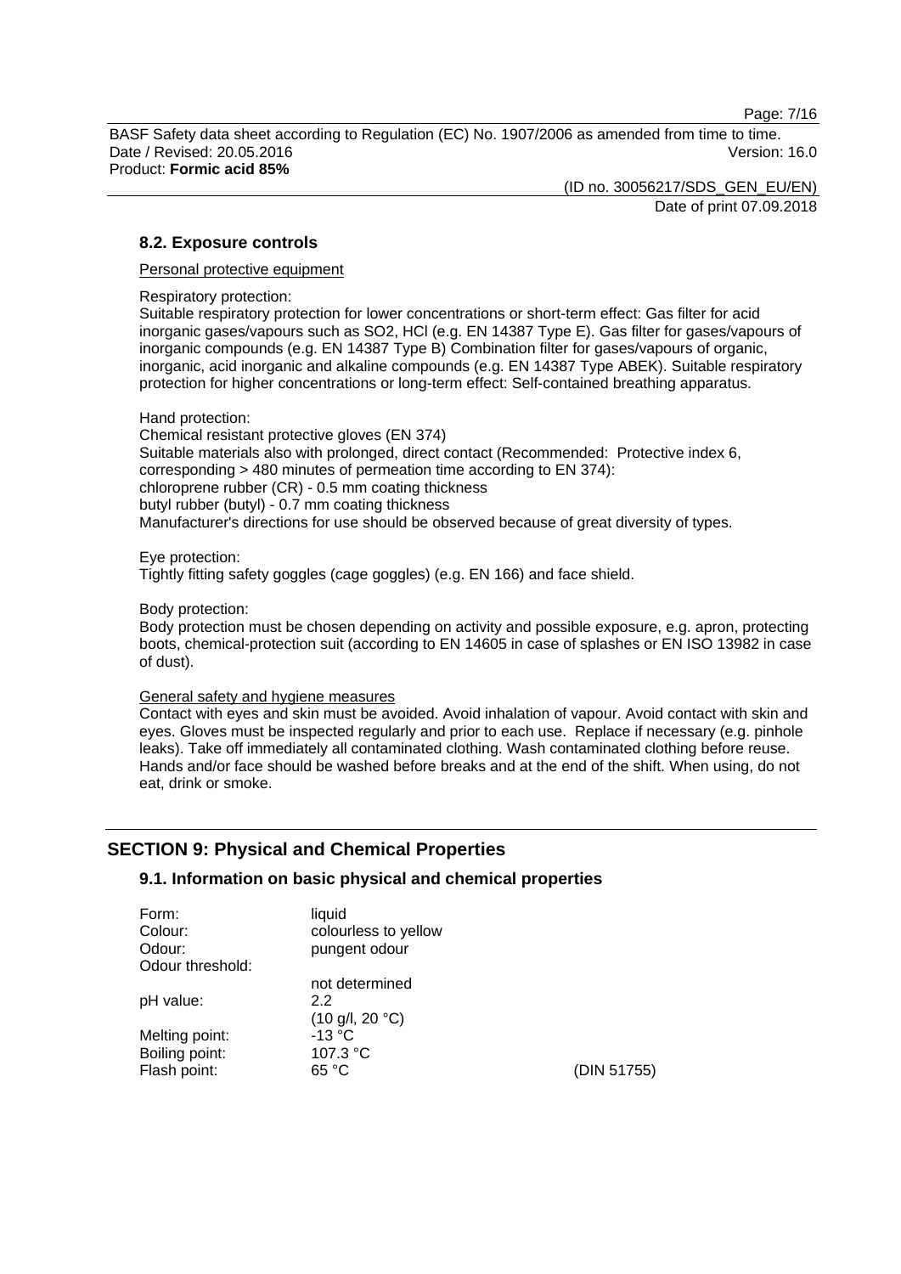Page: 7/16

BASF Safety data sheet according to Regulation (EC) No. 1907/2006 as amended from time to time. Date / Revised: 20.05.2016 Version: 16.0 Product: **Formic acid 85%**

> (ID no. 30056217/SDS\_GEN\_EU/EN) Date of print 07.09.2018

# **8.2. Exposure controls**

Personal protective equipment

Respiratory protection:

Suitable respiratory protection for lower concentrations or short-term effect: Gas filter for acid inorganic gases/vapours such as SO2, HCl (e.g. EN 14387 Type E). Gas filter for gases/vapours of inorganic compounds (e.g. EN 14387 Type B) Combination filter for gases/vapours of organic, inorganic, acid inorganic and alkaline compounds (e.g. EN 14387 Type ABEK). Suitable respiratory protection for higher concentrations or long-term effect: Self-contained breathing apparatus.

Hand protection:

Chemical resistant protective gloves (EN 374) Suitable materials also with prolonged, direct contact (Recommended: Protective index 6, corresponding > 480 minutes of permeation time according to EN 374): chloroprene rubber (CR) - 0.5 mm coating thickness butyl rubber (butyl) - 0.7 mm coating thickness Manufacturer's directions for use should be observed because of great diversity of types.

Eye protection: Tightly fitting safety goggles (cage goggles) (e.g. EN 166) and face shield.

#### Body protection:

Body protection must be chosen depending on activity and possible exposure, e.g. apron, protecting boots, chemical-protection suit (according to EN 14605 in case of splashes or EN ISO 13982 in case of dust).

#### General safety and hygiene measures

Contact with eyes and skin must be avoided. Avoid inhalation of vapour. Avoid contact with skin and eyes. Gloves must be inspected regularly and prior to each use. Replace if necessary (e.g. pinhole leaks). Take off immediately all contaminated clothing. Wash contaminated clothing before reuse. Hands and/or face should be washed before breaks and at the end of the shift. When using, do not eat, drink or smoke.

# **SECTION 9: Physical and Chemical Properties**

# **9.1. Information on basic physical and chemical properties**

| Form:            | liquid                            |             |
|------------------|-----------------------------------|-------------|
| Colour:          | colourless to yellow              |             |
| Odour:           | pungent odour                     |             |
| Odour threshold: |                                   |             |
|                  | not determined                    |             |
| pH value:        | 22                                |             |
|                  | $(10 \text{ g/l}, 20 \text{ °C})$ |             |
| Melting point:   | $-13 °C$                          |             |
| Boiling point:   | 107.3 °C                          |             |
| Flash point:     | 65 °C                             | (DIN 51755) |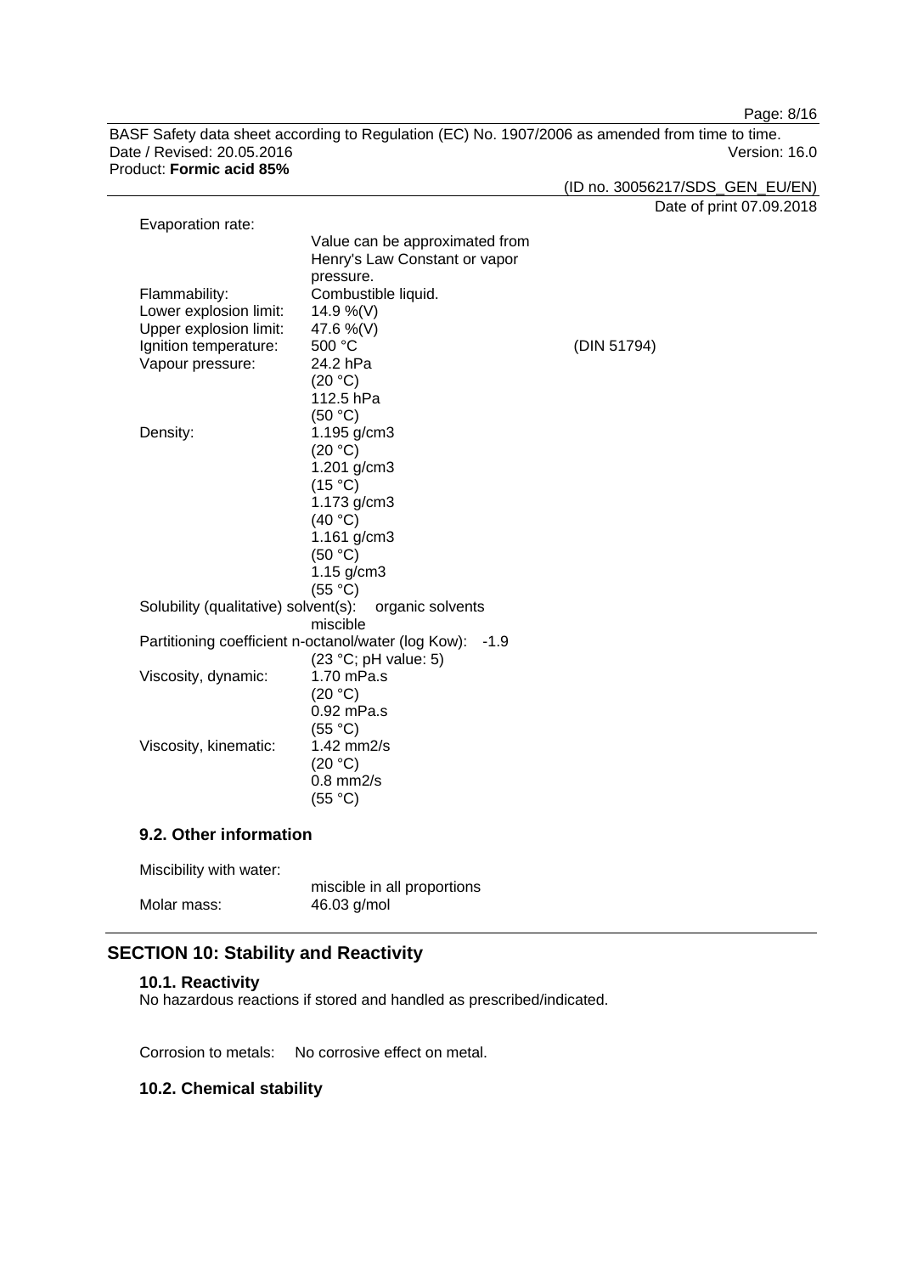Page: 8/16

BASF Safety data sheet according to Regulation (EC) No. 1907/2006 as amended from time to time. Date / Revised: 20.05.2016 Version: 16.0 Product: **Formic acid 85%**

(ID no. 30056217/SDS\_GEN\_EU/EN)

Date of print 07.09.2018

|                                                               | (DIN 51794)                                                                                                                                                                                                                                                  |
|---------------------------------------------------------------|--------------------------------------------------------------------------------------------------------------------------------------------------------------------------------------------------------------------------------------------------------------|
| 24.2 hPa                                                      |                                                                                                                                                                                                                                                              |
|                                                               |                                                                                                                                                                                                                                                              |
|                                                               |                                                                                                                                                                                                                                                              |
|                                                               |                                                                                                                                                                                                                                                              |
|                                                               |                                                                                                                                                                                                                                                              |
|                                                               |                                                                                                                                                                                                                                                              |
|                                                               |                                                                                                                                                                                                                                                              |
|                                                               |                                                                                                                                                                                                                                                              |
|                                                               |                                                                                                                                                                                                                                                              |
| (40 °C)                                                       |                                                                                                                                                                                                                                                              |
|                                                               |                                                                                                                                                                                                                                                              |
| (50 °C)                                                       |                                                                                                                                                                                                                                                              |
| $1.15$ g/cm3                                                  |                                                                                                                                                                                                                                                              |
| (55 °C)                                                       |                                                                                                                                                                                                                                                              |
| Solubility (qualitative) solvent(s):<br>organic solvents      |                                                                                                                                                                                                                                                              |
| miscible                                                      |                                                                                                                                                                                                                                                              |
| Partitioning coefficient n-octanol/water (log Kow):<br>$-1.9$ |                                                                                                                                                                                                                                                              |
| (23 °C; pH value: 5)                                          |                                                                                                                                                                                                                                                              |
| 1.70 mPa.s                                                    |                                                                                                                                                                                                                                                              |
| (20 °C)                                                       |                                                                                                                                                                                                                                                              |
| 0.92 mPa.s                                                    |                                                                                                                                                                                                                                                              |
| (55 °C)                                                       |                                                                                                                                                                                                                                                              |
| 1.42 mm2/s                                                    |                                                                                                                                                                                                                                                              |
| (20 °C)                                                       |                                                                                                                                                                                                                                                              |
| $0.8$ mm $2/s$                                                |                                                                                                                                                                                                                                                              |
| (55 °C)                                                       |                                                                                                                                                                                                                                                              |
|                                                               | Value can be approximated from<br>Henry's Law Constant or vapor<br>pressure.<br>Combustible liquid.<br>14.9 %(V)<br>47.6 %(V)<br>500 °C<br>(20 °C)<br>112.5 hPa<br>(50 °C)<br>1.195 g/cm3<br>(20 °C)<br>1.201 g/cm3<br>(15 °C)<br>1.173 g/cm3<br>1.161 g/cm3 |

**9.2. Other information**

Miscibility with water:

|             | miscible in all proportions |
|-------------|-----------------------------|
| Molar mass: | 46.03 g/mol                 |

# **SECTION 10: Stability and Reactivity**

#### **10.1. Reactivity**

No hazardous reactions if stored and handled as prescribed/indicated.

Corrosion to metals: No corrosive effect on metal.

# **10.2. Chemical stability**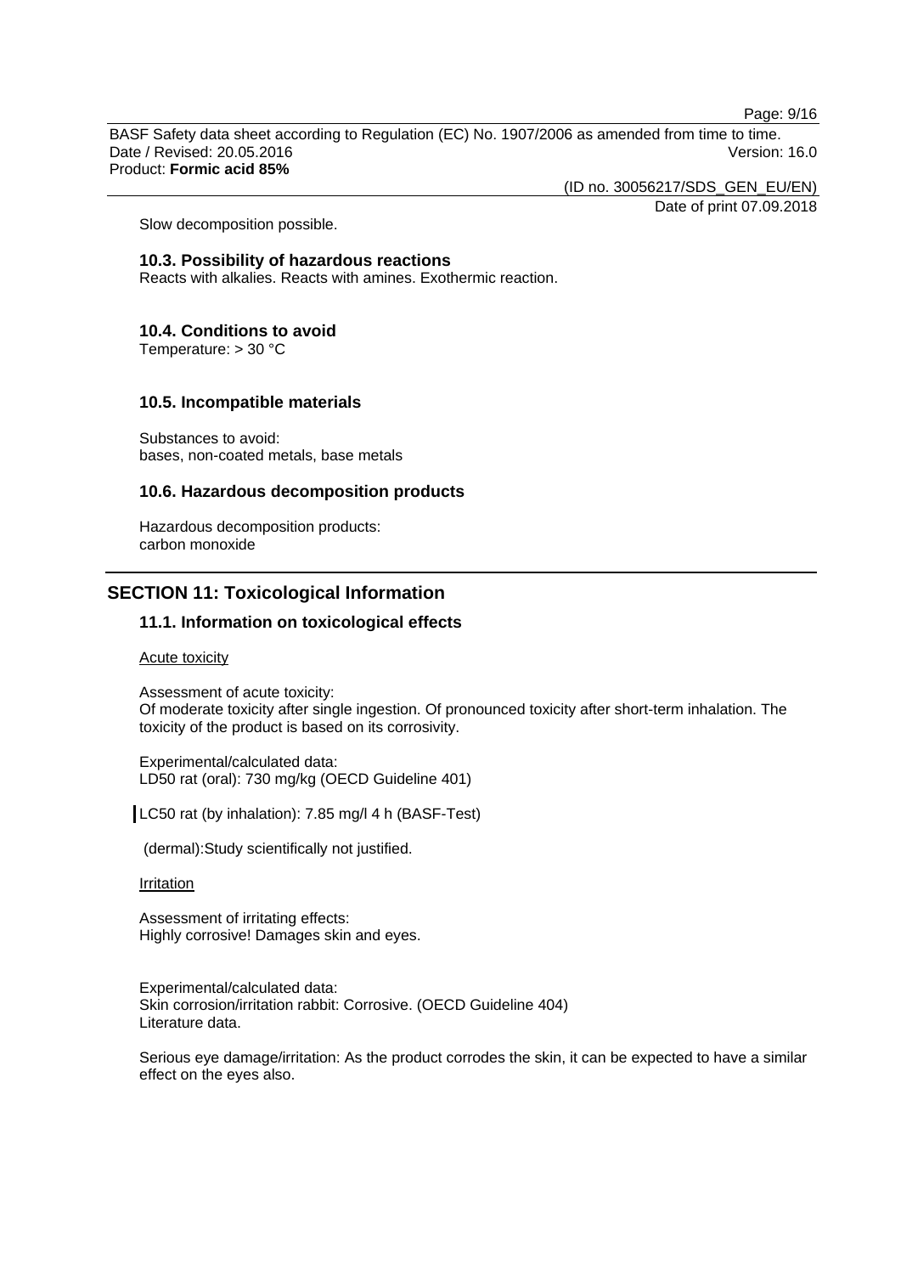Page: 9/16

BASF Safety data sheet according to Regulation (EC) No. 1907/2006 as amended from time to time. Date / Revised: 20.05.2016 Version: 16.0 Product: **Formic acid 85%**

(ID no. 30056217/SDS\_GEN\_EU/EN)

Date of print 07.09.2018

Slow decomposition possible.

#### **10.3. Possibility of hazardous reactions**

Reacts with alkalies. Reacts with amines. Exothermic reaction.

#### **10.4. Conditions to avoid**

Temperature: > 30 °C

#### **10.5. Incompatible materials**

Substances to avoid: bases, non-coated metals, base metals

## **10.6. Hazardous decomposition products**

Hazardous decomposition products: carbon monoxide

# **SECTION 11: Toxicological Information**

# **11.1. Information on toxicological effects**

Acute toxicity

Assessment of acute toxicity: Of moderate toxicity after single ingestion. Of pronounced toxicity after short-term inhalation. The toxicity of the product is based on its corrosivity.

Experimental/calculated data: LD50 rat (oral): 730 mg/kg (OECD Guideline 401)

LC50 rat (by inhalation): 7.85 mg/l 4 h (BASF-Test)

(dermal):Study scientifically not justified.

#### **Irritation**

Assessment of irritating effects: Highly corrosive! Damages skin and eyes.

Experimental/calculated data: Skin corrosion/irritation rabbit: Corrosive. (OECD Guideline 404) Literature data.

Serious eye damage/irritation: As the product corrodes the skin, it can be expected to have a similar effect on the eyes also.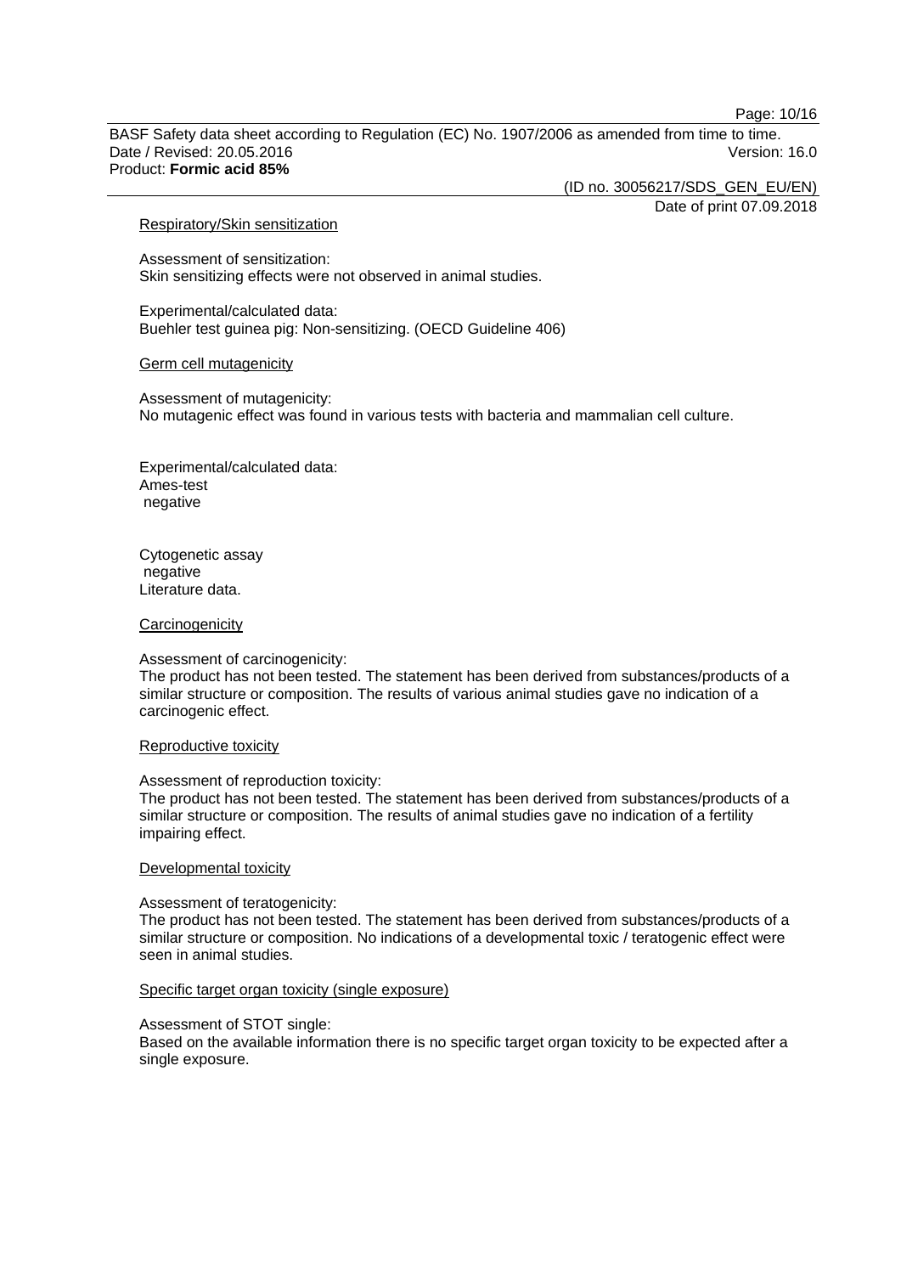Page: 10/16

BASF Safety data sheet according to Regulation (EC) No. 1907/2006 as amended from time to time. Date / Revised: 20.05.2016 Version: 16.0 Product: **Formic acid 85%**

(ID no. 30056217/SDS\_GEN\_EU/EN)

Date of print 07.09.2018

#### Respiratory/Skin sensitization

Assessment of sensitization: Skin sensitizing effects were not observed in animal studies.

Experimental/calculated data: Buehler test guinea pig: Non-sensitizing. (OECD Guideline 406)

#### Germ cell mutagenicity

Assessment of mutagenicity: No mutagenic effect was found in various tests with bacteria and mammalian cell culture.

Experimental/calculated data: Ames-test negative

Cytogenetic assay negative Literature data.

#### **Carcinogenicity**

#### Assessment of carcinogenicity:

The product has not been tested. The statement has been derived from substances/products of a similar structure or composition. The results of various animal studies gave no indication of a carcinogenic effect.

#### Reproductive toxicity

#### Assessment of reproduction toxicity:

The product has not been tested. The statement has been derived from substances/products of a similar structure or composition. The results of animal studies gave no indication of a fertility impairing effect.

#### Developmental toxicity

#### Assessment of teratogenicity:

The product has not been tested. The statement has been derived from substances/products of a similar structure or composition. No indications of a developmental toxic / teratogenic effect were seen in animal studies.

#### Specific target organ toxicity (single exposure)

#### Assessment of STOT single:

Based on the available information there is no specific target organ toxicity to be expected after a single exposure.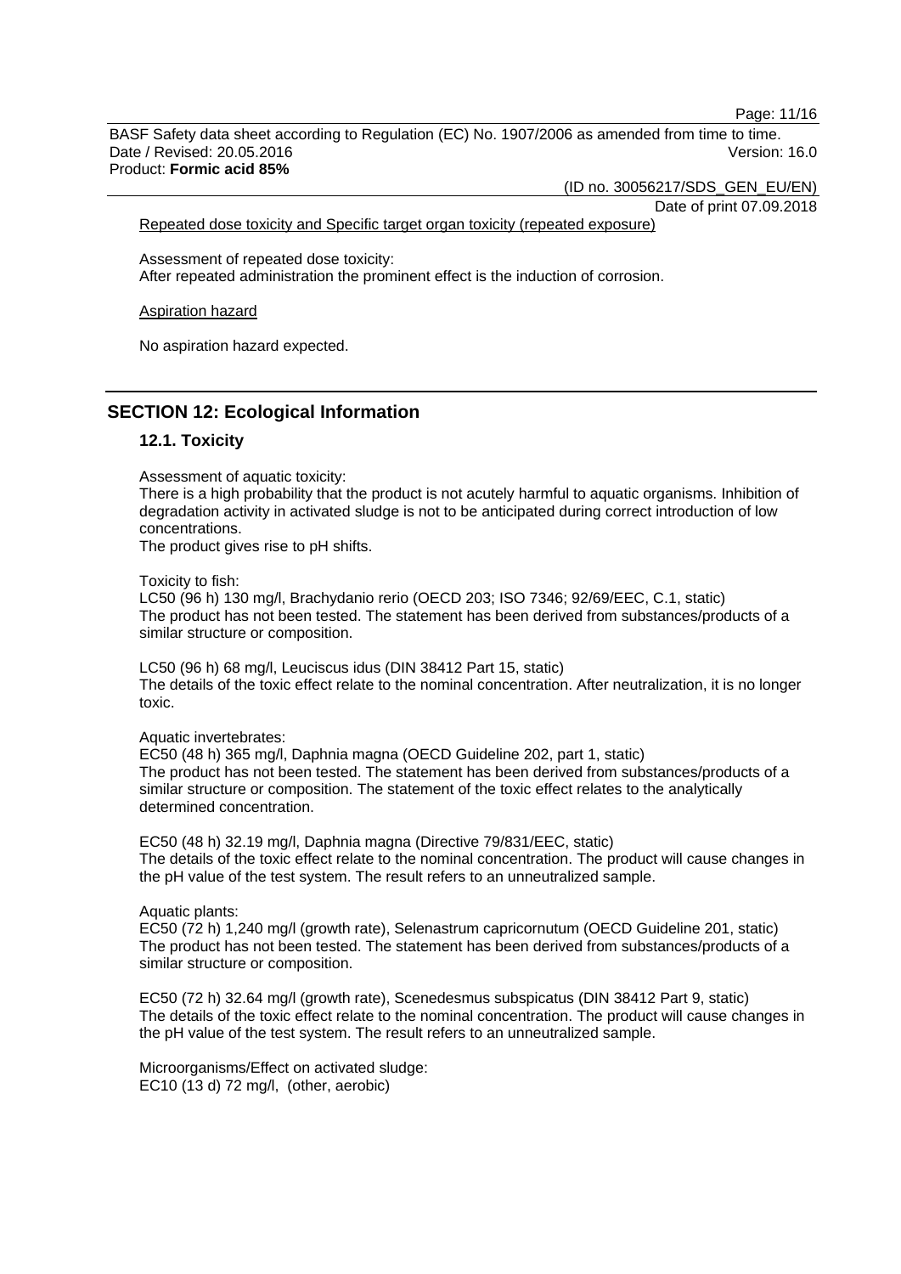Page: 11/16

BASF Safety data sheet according to Regulation (EC) No. 1907/2006 as amended from time to time. Date / Revised: 20.05.2016 Version: 16.0 Product: **Formic acid 85%**

(ID no. 30056217/SDS\_GEN\_EU/EN)

Date of print 07.09.2018 Repeated dose toxicity and Specific target organ toxicity (repeated exposure)

Assessment of repeated dose toxicity: After repeated administration the prominent effect is the induction of corrosion.

Aspiration hazard

No aspiration hazard expected.

# **SECTION 12: Ecological Information**

#### **12.1. Toxicity**

Assessment of aquatic toxicity:

There is a high probability that the product is not acutely harmful to aquatic organisms. Inhibition of degradation activity in activated sludge is not to be anticipated during correct introduction of low concentrations.

The product gives rise to pH shifts.

Toxicity to fish:

LC50 (96 h) 130 mg/l, Brachydanio rerio (OECD 203; ISO 7346; 92/69/EEC, C.1, static) The product has not been tested. The statement has been derived from substances/products of a similar structure or composition.

LC50 (96 h) 68 mg/l, Leuciscus idus (DIN 38412 Part 15, static) The details of the toxic effect relate to the nominal concentration. After neutralization, it is no longer toxic.

Aquatic invertebrates:

EC50 (48 h) 365 mg/l, Daphnia magna (OECD Guideline 202, part 1, static) The product has not been tested. The statement has been derived from substances/products of a similar structure or composition. The statement of the toxic effect relates to the analytically determined concentration.

EC50 (48 h) 32.19 mg/l, Daphnia magna (Directive 79/831/EEC, static) The details of the toxic effect relate to the nominal concentration. The product will cause changes in the pH value of the test system. The result refers to an unneutralized sample.

Aquatic plants:

EC50 (72 h) 1,240 mg/l (growth rate), Selenastrum capricornutum (OECD Guideline 201, static) The product has not been tested. The statement has been derived from substances/products of a similar structure or composition.

EC50 (72 h) 32.64 mg/l (growth rate), Scenedesmus subspicatus (DIN 38412 Part 9, static) The details of the toxic effect relate to the nominal concentration. The product will cause changes in the pH value of the test system. The result refers to an unneutralized sample.

Microorganisms/Effect on activated sludge: EC10 (13 d) 72 mg/l, (other, aerobic)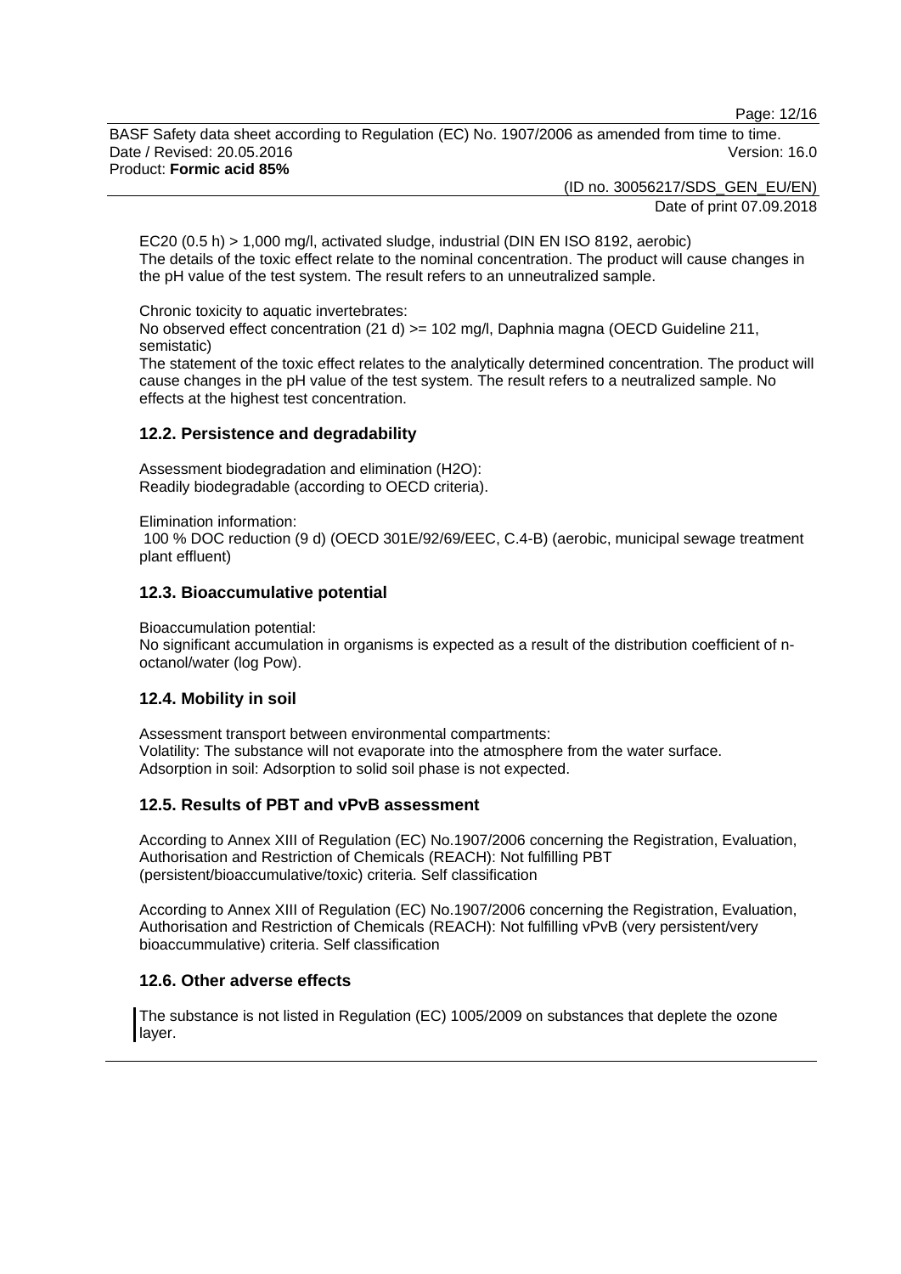Page: 12/16

BASF Safety data sheet according to Regulation (EC) No. 1907/2006 as amended from time to time. Date / Revised: 20.05.2016 Version: 16.0 Product: **Formic acid 85%**

(ID no. 30056217/SDS\_GEN\_EU/EN)

Date of print 07.09.2018

EC20 (0.5 h) > 1,000 mg/l, activated sludge, industrial (DIN EN ISO 8192, aerobic) The details of the toxic effect relate to the nominal concentration. The product will cause changes in the pH value of the test system. The result refers to an unneutralized sample.

Chronic toxicity to aquatic invertebrates:

No observed effect concentration (21 d) > = 102 mg/l, Daphnia magna (OECD Guideline 211, semistatic)

The statement of the toxic effect relates to the analytically determined concentration. The product will cause changes in the pH value of the test system. The result refers to a neutralized sample. No effects at the highest test concentration.

# **12.2. Persistence and degradability**

Assessment biodegradation and elimination (H2O): Readily biodegradable (according to OECD criteria).

Elimination information:

100 % DOC reduction (9 d) (OECD 301E/92/69/EEC, C.4-B) (aerobic, municipal sewage treatment plant effluent)

# **12.3. Bioaccumulative potential**

Bioaccumulation potential:

No significant accumulation in organisms is expected as a result of the distribution coefficient of noctanol/water (log Pow).

# **12.4. Mobility in soil**

Assessment transport between environmental compartments: Volatility: The substance will not evaporate into the atmosphere from the water surface. Adsorption in soil: Adsorption to solid soil phase is not expected.

# **12.5. Results of PBT and vPvB assessment**

According to Annex XIII of Regulation (EC) No.1907/2006 concerning the Registration, Evaluation, Authorisation and Restriction of Chemicals (REACH): Not fulfilling PBT (persistent/bioaccumulative/toxic) criteria. Self classification

According to Annex XIII of Regulation (EC) No.1907/2006 concerning the Registration, Evaluation, Authorisation and Restriction of Chemicals (REACH): Not fulfilling vPvB (very persistent/very bioaccummulative) criteria. Self classification

# **12.6. Other adverse effects**

The substance is not listed in Regulation (EC) 1005/2009 on substances that deplete the ozone layer.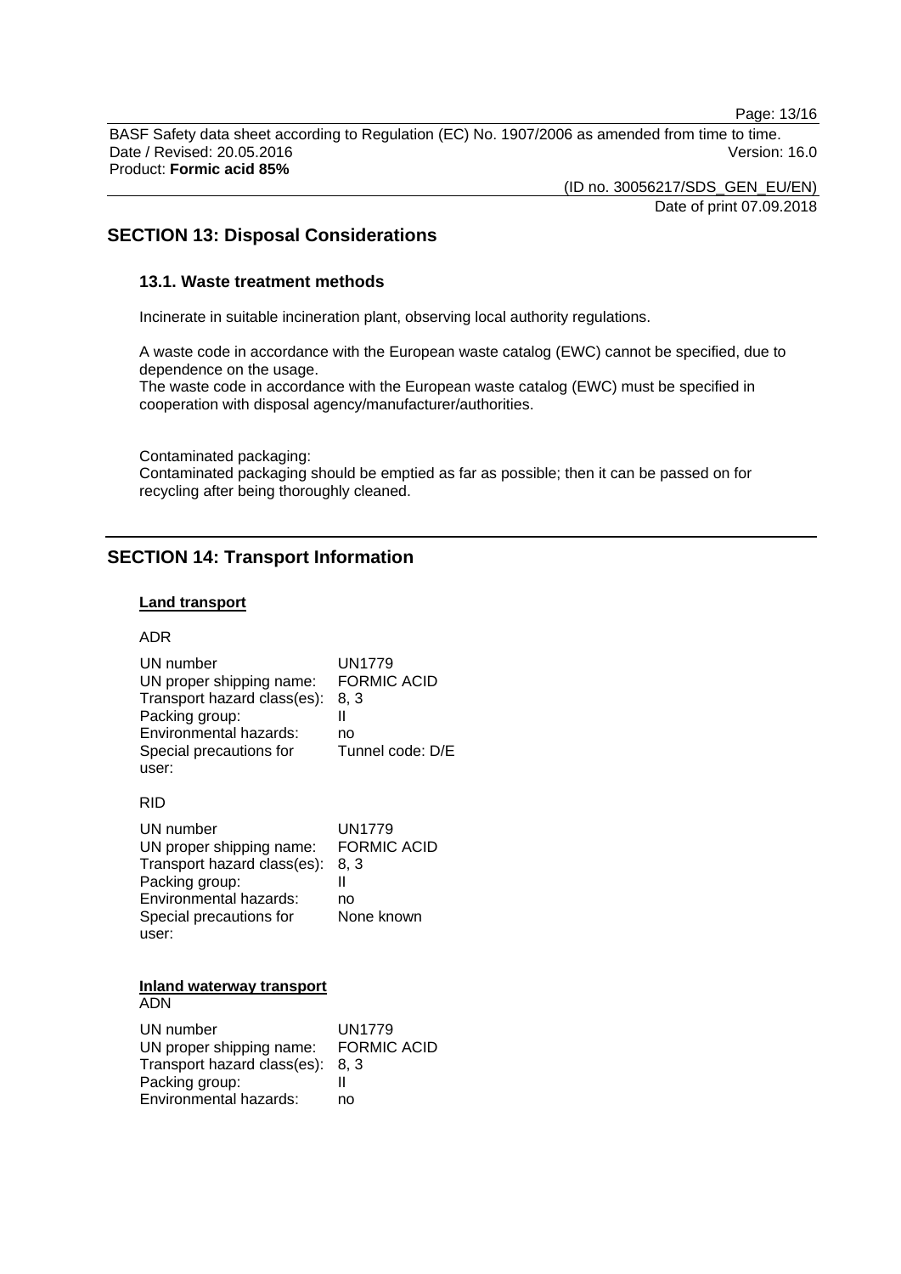Page: 13/16

BASF Safety data sheet according to Regulation (EC) No. 1907/2006 as amended from time to time. Date / Revised: 20.05.2016 Version: 16.0 Product: **Formic acid 85%**

> (ID no. 30056217/SDS\_GEN\_EU/EN) Date of print 07.09.2018

# **SECTION 13: Disposal Considerations**

#### **13.1. Waste treatment methods**

Incinerate in suitable incineration plant, observing local authority regulations.

A waste code in accordance with the European waste catalog (EWC) cannot be specified, due to dependence on the usage.

The waste code in accordance with the European waste catalog (EWC) must be specified in cooperation with disposal agency/manufacturer/authorities.

Contaminated packaging:

Contaminated packaging should be emptied as far as possible; then it can be passed on for recycling after being thoroughly cleaned.

# **SECTION 14: Transport Information**

#### **Land transport**

#### ADR

| UN number                   | UN1779             |
|-----------------------------|--------------------|
| UN proper shipping name:    | <b>FORMIC ACID</b> |
| Transport hazard class(es): | 8.3                |
| Packing group:              |                    |
| Environmental hazards:      | no                 |
| Special precautions for     | Tunnel code: D/E   |
| user:                       |                    |

#### RID

| UN number                   | <b>UN1779</b>      |
|-----------------------------|--------------------|
| UN proper shipping name:    | <b>FORMIC ACID</b> |
| Transport hazard class(es): | 8. 3               |
| Packing group:              |                    |
| Environmental hazards:      | no                 |
| Special precautions for     | None known         |
| user:                       |                    |

#### **Inland waterway transport** ADN

| UN number                   | UN1779             |
|-----------------------------|--------------------|
| UN proper shipping name:    | <b>FORMIC ACID</b> |
| Transport hazard class(es): | 8.3                |
| Packing group:              |                    |
| Environmental hazards:      | no                 |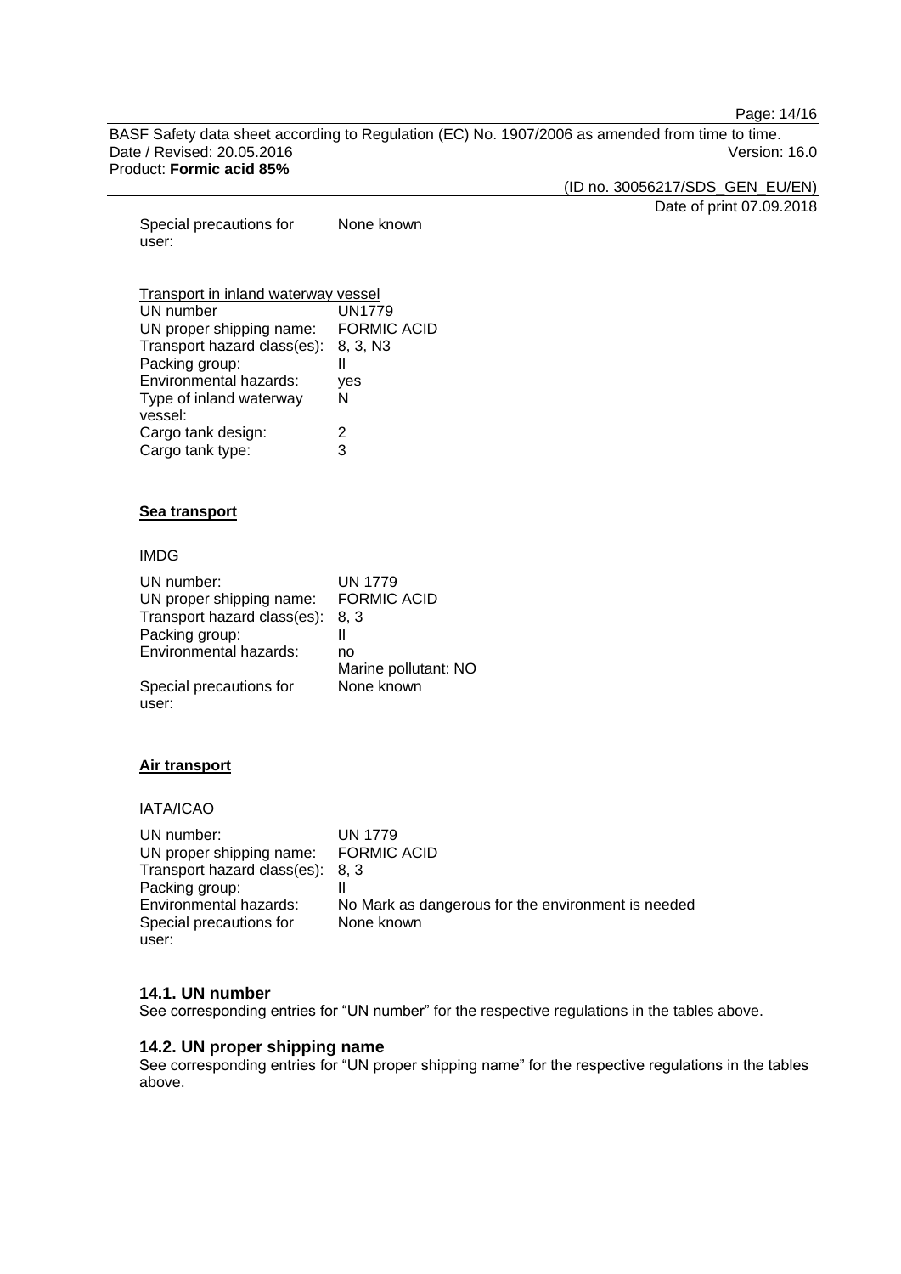Page: 14/16

BASF Safety data sheet according to Regulation (EC) No. 1907/2006 as amended from time to time. Date / Revised: 20.05.2016 Version: 16.0 Product: **Formic acid 85%**

(ID no. 30056217/SDS\_GEN\_EU/EN)

Date of print 07.09.2018

Special precautions for user: None known

# Transport in inland waterway vessel

| UN number                   | <b>UN1779</b>      |
|-----------------------------|--------------------|
| UN proper shipping name:    | <b>FORMIC ACID</b> |
| Transport hazard class(es): | 8, 3, N3           |
| Packing group:              | Ш                  |
| Environmental hazards:      | yes                |
| Type of inland waterway     | N                  |
| vessel:                     |                    |
| Cargo tank design:          | 2                  |
| Cargo tank type:            | 3                  |

#### **Sea transport**

# IMDG

| UN number:                  | <b>UN 1779</b>       |
|-----------------------------|----------------------|
| UN proper shipping name:    | <b>FORMIC ACID</b>   |
| Transport hazard class(es): | 8.3                  |
| Packing group:              | Ш                    |
| Environmental hazards:      | no                   |
|                             | Marine pollutant: NO |
| Special precautions for     | None known           |
| user:                       |                      |

# **Air transport**

# IATA/ICAO

| UN number:                       | <b>UN 1779</b>                                     |
|----------------------------------|----------------------------------------------------|
| UN proper shipping name:         | <b>FORMIC ACID</b>                                 |
| Transport hazard class(es): 8, 3 |                                                    |
| Packing group:                   |                                                    |
| Environmental hazards:           | No Mark as dangerous for the environment is needed |
| Special precautions for          | None known                                         |
| user:                            |                                                    |

#### **14.1. UN number**

See corresponding entries for "UN number" for the respective regulations in the tables above.

#### **14.2. UN proper shipping name**

See corresponding entries for "UN proper shipping name" for the respective regulations in the tables above.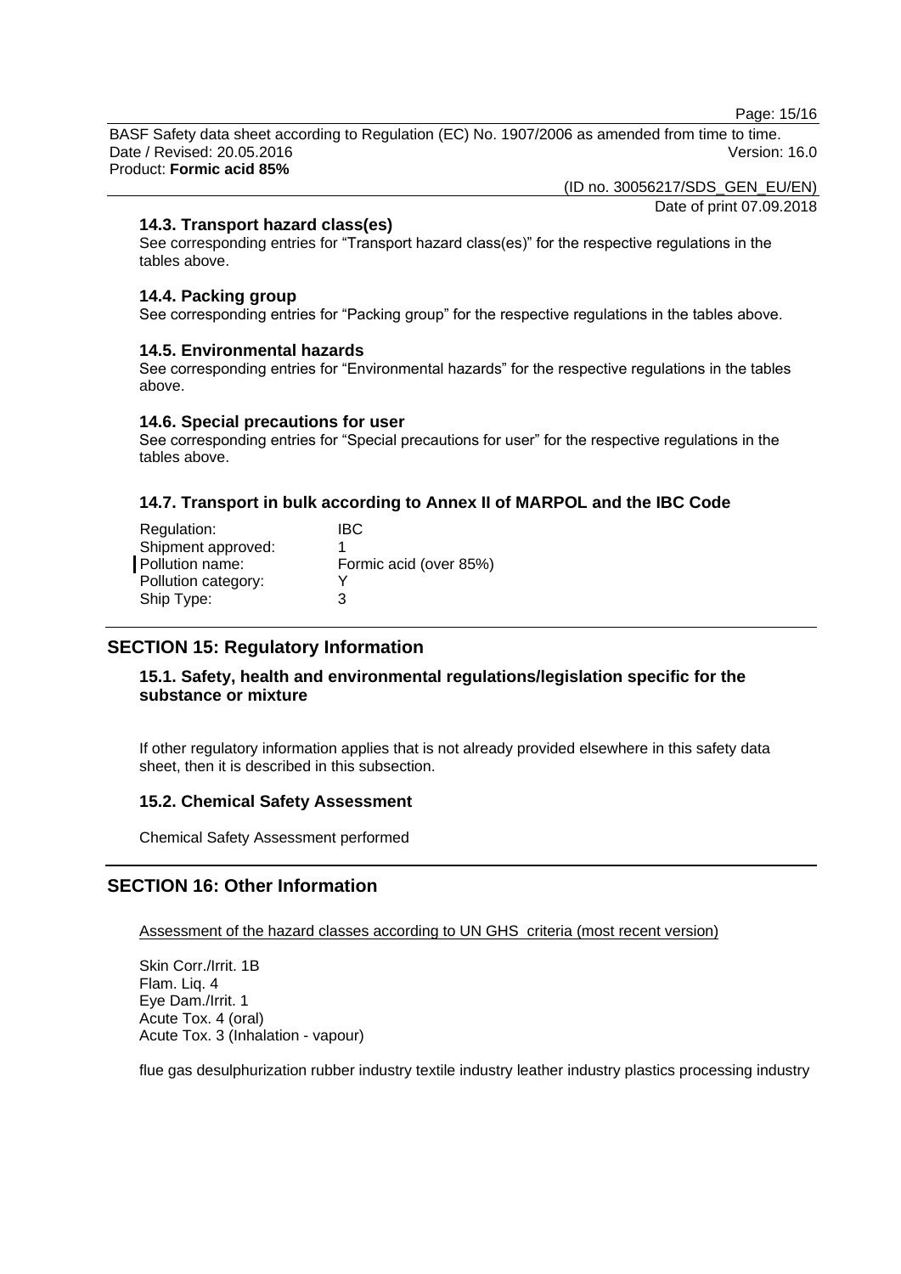Page: 15/16

BASF Safety data sheet according to Regulation (EC) No. 1907/2006 as amended from time to time. Date / Revised: 20.05.2016 Version: 16.0 Product: **Formic acid 85%**

(ID no. 30056217/SDS\_GEN\_EU/EN)

Date of print 07.09.2018

# **14.3. Transport hazard class(es)**

See corresponding entries for "Transport hazard class(es)" for the respective regulations in the tables above.

# **14.4. Packing group**

See corresponding entries for "Packing group" for the respective regulations in the tables above.

# **14.5. Environmental hazards**

See corresponding entries for "Environmental hazards" for the respective regulations in the tables above.

#### **14.6. Special precautions for user**

See corresponding entries for "Special precautions for user" for the respective regulations in the tables above.

# **14.7. Transport in bulk according to Annex II of MARPOL and the IBC Code**

| Regulation:         | IBC                    |
|---------------------|------------------------|
| Shipment approved:  |                        |
| Pollution name:     | Formic acid (over 85%) |
| Pollution category: |                        |
| Ship Type:          | З                      |
|                     |                        |

# **SECTION 15: Regulatory Information**

# **15.1. Safety, health and environmental regulations/legislation specific for the substance or mixture**

If other regulatory information applies that is not already provided elsewhere in this safety data sheet, then it is described in this subsection.

# **15.2. Chemical Safety Assessment**

Chemical Safety Assessment performed

# **SECTION 16: Other Information**

Assessment of the hazard classes according to UN GHS criteria (most recent version)

Skin Corr./Irrit. 1B Flam. Liq. 4 Eye Dam./Irrit. 1 Acute Tox. 4 (oral) Acute Tox. 3 (Inhalation - vapour)

flue gas desulphurization rubber industry textile industry leather industry plastics processing industry